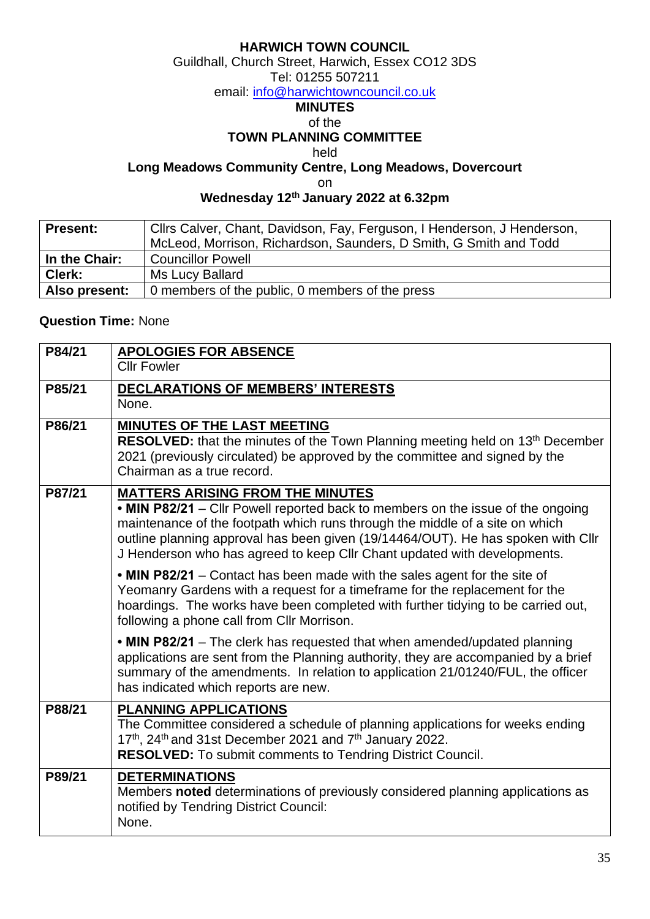### **HARWICH TOWN COUNCIL**

Guildhall, Church Street, Harwich, Essex CO12 3DS

#### Tel: 01255 507211

email: [info@harwichtowncouncil.co.uk](mailto:info@harwichtowncouncil.co.uk)

## **MINUTES**

#### of the

### **TOWN PLANNING COMMITTEE**

held

# **Long Meadows Community Centre, Long Meadows, Dovercourt**

on

### **Wednesday 12 th January 2022 at 6.32pm**

| <b>Present:</b> | Cllrs Calver, Chant, Davidson, Fay, Ferguson, I Henderson, J Henderson, |  |  |
|-----------------|-------------------------------------------------------------------------|--|--|
|                 | McLeod, Morrison, Richardson, Saunders, D Smith, G Smith and Todd       |  |  |
| In the Chair:   | l Councillor Powell                                                     |  |  |
| Clerk:          | Ms Lucy Ballard                                                         |  |  |
| Also present:   | 0 members of the public, 0 members of the press                         |  |  |

### **Question Time:** None

| P84/21 | <b>APOLOGIES FOR ABSENCE</b><br><b>Cllr Fowler</b>                                                                                                                                                                                                                                                                                                                         |
|--------|----------------------------------------------------------------------------------------------------------------------------------------------------------------------------------------------------------------------------------------------------------------------------------------------------------------------------------------------------------------------------|
| P85/21 | <b>DECLARATIONS OF MEMBERS' INTERESTS</b><br>None.                                                                                                                                                                                                                                                                                                                         |
| P86/21 | <b>MINUTES OF THE LAST MEETING</b><br><b>RESOLVED:</b> that the minutes of the Town Planning meeting held on 13 <sup>th</sup> December<br>2021 (previously circulated) be approved by the committee and signed by the<br>Chairman as a true record.                                                                                                                        |
| P87/21 | <b>MATTERS ARISING FROM THE MINUTES</b><br>• MIN P82/21 - Cllr Powell reported back to members on the issue of the ongoing<br>maintenance of the footpath which runs through the middle of a site on which<br>outline planning approval has been given (19/14464/OUT). He has spoken with Cllr<br>J Henderson who has agreed to keep CIIr Chant updated with developments. |
|        | • MIN P82/21 – Contact has been made with the sales agent for the site of<br>Yeomanry Gardens with a request for a timeframe for the replacement for the<br>hoardings. The works have been completed with further tidying to be carried out,<br>following a phone call from Cllr Morrison.                                                                                 |
|        | • MIN P82/21 – The clerk has requested that when amended/updated planning<br>applications are sent from the Planning authority, they are accompanied by a brief<br>summary of the amendments. In relation to application 21/01240/FUL, the officer<br>has indicated which reports are new.                                                                                 |
| P88/21 | <b>PLANNING APPLICATIONS</b><br>The Committee considered a schedule of planning applications for weeks ending<br>17th, 24th and 31st December 2021 and 7th January 2022.<br><b>RESOLVED:</b> To submit comments to Tendring District Council.                                                                                                                              |
| P89/21 | <b>DETERMINATIONS</b><br>Members noted determinations of previously considered planning applications as<br>notified by Tendring District Council:<br>None.                                                                                                                                                                                                                 |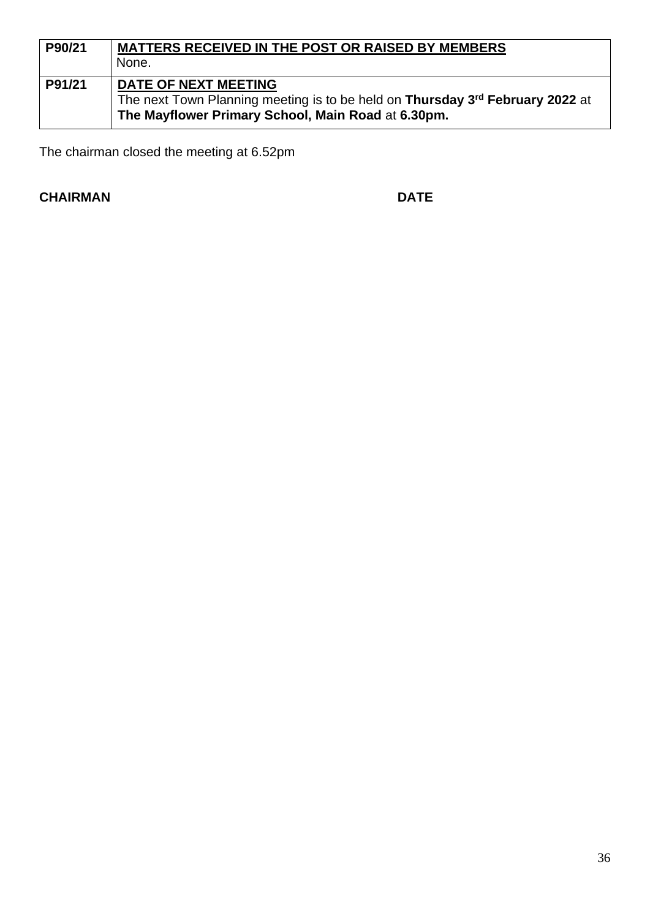| P90/21 | <b>MATTERS RECEIVED IN THE POST OR RAISED BY MEMBERS</b>                      |  |  |
|--------|-------------------------------------------------------------------------------|--|--|
|        | None.                                                                         |  |  |
| P91/21 | <b>DATE OF NEXT MEETING</b>                                                   |  |  |
|        | The next Town Planning meeting is to be held on Thursday 3rd February 2022 at |  |  |
|        | The Mayflower Primary School, Main Road at 6.30pm.                            |  |  |

The chairman closed the meeting at 6.52pm

# **CHAIRMAN DATE**